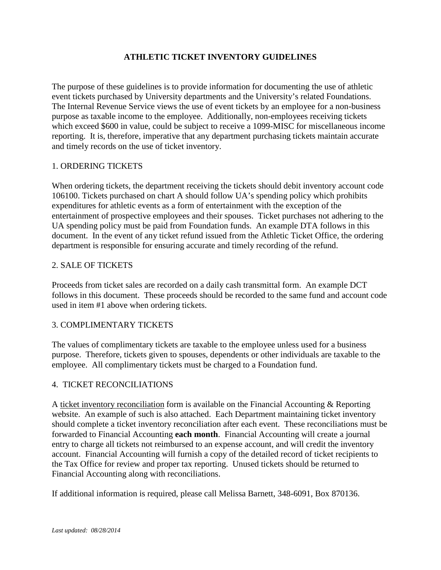### **ATHLETIC TICKET INVENTORY GUIDELINES**

The purpose of these guidelines is to provide information for documenting the use of athletic event tickets purchased by University departments and the University's related Foundations. The Internal Revenue Service views the use of event tickets by an employee for a non-business purpose as taxable income to the employee. Additionally, non-employees receiving tickets which exceed \$600 in value, could be subject to receive a 1099-MISC for miscellaneous income reporting. It is, therefore, imperative that any department purchasing tickets maintain accurate and timely records on the use of ticket inventory.

#### 1. ORDERING TICKETS

When ordering tickets, the department receiving the tickets should debit inventory account code 106100. Tickets purchased on chart A should follow UA's spending policy which prohibits expenditures for athletic events as a form of entertainment with the exception of the entertainment of prospective employees and their spouses. Ticket purchases not adhering to the UA spending policy must be paid from Foundation funds. An example DTA follows in this document. In the event of any ticket refund issued from the Athletic Ticket Office, the ordering department is responsible for ensuring accurate and timely recording of the refund.

#### 2. SALE OF TICKETS

Proceeds from ticket sales are recorded on a daily cash transmittal form. An example DCT follows in this document. These proceeds should be recorded to the same fund and account code used in item #1 above when ordering tickets.

#### 3. COMPLIMENTARY TICKETS

The values of complimentary tickets are taxable to the employee unless used for a business purpose. Therefore, tickets given to spouses, dependents or other individuals are taxable to the employee. All complimentary tickets must be charged to a Foundation fund.

#### 4. TICKET RECONCILIATIONS

A ticket inventory reconciliation form is available on the Financial Accounting & Reporting website. An example of such is also attached. Each Department maintaining ticket inventory should complete a ticket inventory reconciliation after each event. These reconciliations must be forwarded to Financial Accounting **each month**. Financial Accounting will create a journal entry to charge all tickets not reimbursed to an expense account, and will credit the inventory account. Financial Accounting will furnish a copy of the detailed record of ticket recipients to the Tax Office for review and proper tax reporting. Unused tickets should be returned to Financial Accounting along with reconciliations.

If additional information is required, please call Melissa Barnett, 348-6091, Box 870136.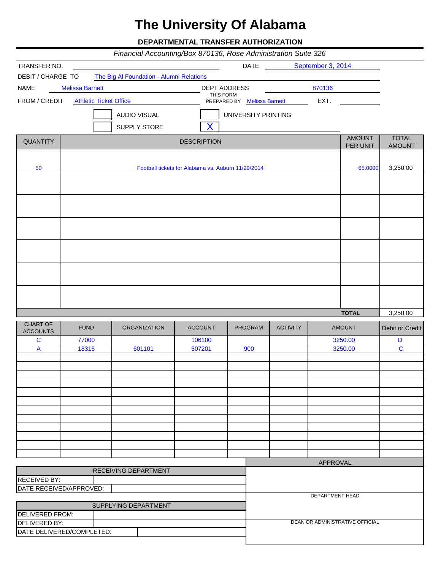# **The University Of Alabama**

**DEPARTMENTAL TRANSFER AUTHORIZATION**

|                                                |                               | Financial Accounting/Box 870136, Rose Administration Suite 326 |                    |                             |                 |                        |                                 |                  |
|------------------------------------------------|-------------------------------|----------------------------------------------------------------|--------------------|-----------------------------|-----------------|------------------------|---------------------------------|------------------|
| TRANSFER NO.                                   |                               |                                                                |                    | <b>DATE</b>                 |                 | September 3, 2014      |                                 |                  |
| DEBIT / CHARGE TO                              |                               | The Big Al Foundation - Alumni Relations                       |                    |                             |                 |                        |                                 |                  |
| <b>NAME</b>                                    | <b>Melissa Barnett</b>        |                                                                |                    | <b>DEPT ADDRESS</b>         |                 | 870136                 |                                 |                  |
| FROM / CREDIT                                  | <b>Athletic Ticket Office</b> |                                                                | THIS FORM          | PREPARED BY Melissa Barnett |                 | EXT.                   |                                 |                  |
|                                                |                               | <b>AUDIO VISUAL</b>                                            |                    | UNIVERSITY PRINTING         |                 |                        |                                 |                  |
|                                                |                               | SUPPLY STORE                                                   |                    |                             |                 |                        |                                 |                  |
| <b>QUANTITY</b>                                |                               |                                                                | <b>DESCRIPTION</b> |                             |                 |                        | <b>AMOUNT</b>                   | <b>TOTAL</b>     |
|                                                |                               |                                                                |                    |                             |                 |                        | <b>PER UNIT</b>                 | <b>AMOUNT</b>    |
| 50                                             |                               | Football tickets for Alabama vs. Auburn 11/29/2014             |                    |                             |                 |                        | 65.0000                         | 3,250.00         |
|                                                |                               |                                                                |                    |                             |                 |                        |                                 |                  |
|                                                |                               |                                                                |                    |                             |                 |                        |                                 |                  |
|                                                |                               |                                                                |                    |                             |                 |                        |                                 |                  |
|                                                |                               |                                                                |                    |                             |                 |                        |                                 |                  |
|                                                |                               |                                                                |                    |                             |                 |                        |                                 |                  |
|                                                |                               |                                                                |                    |                             |                 |                        |                                 |                  |
|                                                |                               |                                                                |                    |                             |                 |                        |                                 |                  |
|                                                |                               |                                                                |                    |                             |                 |                        | <b>TOTAL</b>                    | 3,250.00         |
| CHART OF<br><b>ACCOUNTS</b>                    | <b>FUND</b>                   | <b>ORGANIZATION</b>                                            | <b>ACCOUNT</b>     | <b>PROGRAM</b>              | <b>ACTIVITY</b> | <b>AMOUNT</b>          |                                 | Debit or Credit  |
| $\mathbf C$<br>$\mathsf{A}$                    | 77000<br>18315                | 601101                                                         | 106100<br>507201   | 900                         |                 |                        | 3250.00<br>3250.00              | D<br>$\mathbf C$ |
|                                                |                               |                                                                |                    |                             |                 |                        |                                 |                  |
|                                                |                               |                                                                |                    |                             |                 |                        |                                 |                  |
|                                                |                               |                                                                |                    |                             |                 |                        |                                 |                  |
|                                                |                               |                                                                |                    |                             |                 |                        |                                 |                  |
|                                                |                               |                                                                |                    |                             |                 |                        |                                 |                  |
|                                                |                               |                                                                |                    |                             |                 |                        |                                 |                  |
|                                                |                               |                                                                |                    |                             |                 |                        |                                 |                  |
|                                                |                               |                                                                |                    |                             |                 |                        |                                 |                  |
|                                                |                               |                                                                |                    |                             |                 |                        |                                 |                  |
|                                                |                               |                                                                |                    |                             |                 | <b>APPROVAL</b>        |                                 |                  |
|                                                |                               | RECEIVING DEPARTMENT                                           |                    |                             |                 |                        |                                 |                  |
| <b>RECEIVED BY:</b><br>DATE RECEIVED/APPROVED: |                               |                                                                |                    |                             |                 |                        |                                 |                  |
|                                                |                               |                                                                |                    |                             |                 | <b>DEPARTMENT HEAD</b> |                                 |                  |
|                                                |                               | SUPPLYING DEPARTMENT                                           |                    |                             |                 |                        |                                 |                  |
| DELIVERED FROM:<br>DELIVERED BY:               |                               |                                                                |                    |                             |                 |                        | DEAN OR ADMINISTRATIVE OFFICIAL |                  |
|                                                | DATE DELIVERED/COMPLETED:     |                                                                |                    |                             |                 |                        |                                 |                  |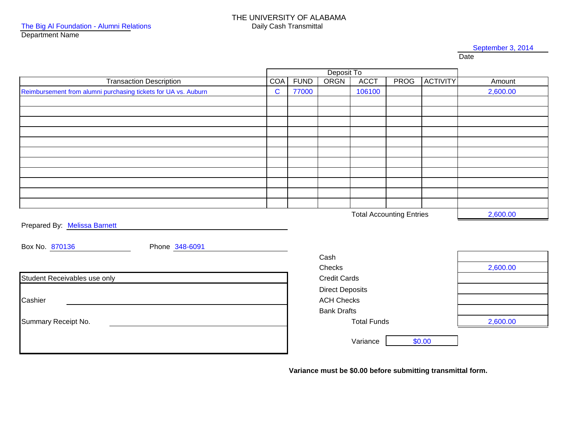#### September 3, 2014

Date

|                                                                | Deposit To  |             |                        |                                 |             |                 |          |
|----------------------------------------------------------------|-------------|-------------|------------------------|---------------------------------|-------------|-----------------|----------|
| <b>Transaction Description</b>                                 | <b>COA</b>  | <b>FUND</b> | ORGN                   | <b>ACCT</b>                     | <b>PROG</b> | <b>ACTIVITY</b> | Amount   |
| Reimbursement from alumni purchasing tickets for UA vs. Auburn | $\mathbf C$ | 77000       |                        | 106100                          |             |                 | 2,600.00 |
|                                                                |             |             |                        |                                 |             |                 |          |
|                                                                |             |             |                        |                                 |             |                 |          |
|                                                                |             |             |                        |                                 |             |                 |          |
|                                                                |             |             |                        |                                 |             |                 |          |
|                                                                |             |             |                        |                                 |             |                 |          |
|                                                                |             |             |                        |                                 |             |                 |          |
|                                                                |             |             |                        |                                 |             |                 |          |
|                                                                |             |             |                        |                                 |             |                 |          |
|                                                                |             |             |                        |                                 |             |                 |          |
|                                                                |             |             |                        |                                 |             |                 |          |
|                                                                |             |             |                        |                                 |             |                 |          |
|                                                                |             |             |                        | <b>Total Accounting Entries</b> |             |                 | 2,600.00 |
| Prepared By: Melissa Barnett                                   |             |             |                        |                                 |             |                 |          |
|                                                                |             |             |                        |                                 |             |                 |          |
| Box No. 870136<br>Phone 348-6091                               |             |             |                        |                                 |             |                 |          |
|                                                                |             |             | Cash                   |                                 |             |                 |          |
|                                                                |             |             | Checks                 |                                 |             |                 | 2,600.00 |
| Student Receivables use only                                   |             |             | <b>Credit Cards</b>    |                                 |             |                 |          |
|                                                                |             |             | <b>Direct Deposits</b> |                                 |             |                 |          |
| Cashier                                                        |             |             | <b>ACH Checks</b>      |                                 |             |                 |          |
|                                                                |             |             | <b>Bank Drafts</b>     |                                 |             |                 |          |
| Summary Receipt No.                                            |             |             |                        | 2,600.00                        |             |                 |          |
|                                                                |             |             |                        | <b>Total Funds</b>              |             |                 |          |
|                                                                |             |             |                        | Variance                        |             | \$0.00          |          |
|                                                                |             |             |                        |                                 |             |                 |          |

**Variance must be \$0.00 before submitting transmittal form.**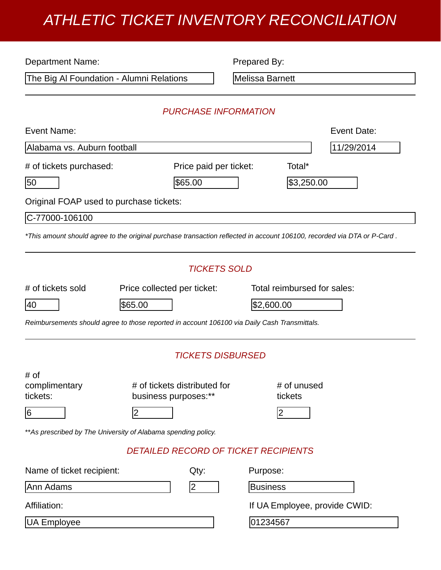## *ATHLETIC TICKET INVENTORY RECONCILIATION*

| <b>Department Name:</b>                                                                      |                                             | Prepared By:             |                                                                                                                         |  |  |  |  |
|----------------------------------------------------------------------------------------------|---------------------------------------------|--------------------------|-------------------------------------------------------------------------------------------------------------------------|--|--|--|--|
| The Big Al Foundation - Alumni Relations                                                     |                                             |                          | Melissa Barnett                                                                                                         |  |  |  |  |
|                                                                                              |                                             |                          |                                                                                                                         |  |  |  |  |
|                                                                                              | <b>PURCHASE INFORMATION</b>                 |                          |                                                                                                                         |  |  |  |  |
| Event Name:                                                                                  |                                             |                          | Event Date:                                                                                                             |  |  |  |  |
| Alabama vs. Auburn football                                                                  |                                             |                          | 11/29/2014                                                                                                              |  |  |  |  |
| # of tickets purchased:                                                                      | Price paid per ticket:                      |                          | Total*                                                                                                                  |  |  |  |  |
| 50                                                                                           | \$65.00                                     |                          | \$3,250.00                                                                                                              |  |  |  |  |
| Original FOAP used to purchase tickets:                                                      |                                             |                          |                                                                                                                         |  |  |  |  |
| C-77000-106100                                                                               |                                             |                          |                                                                                                                         |  |  |  |  |
|                                                                                              |                                             |                          | *This amount should agree to the original purchase transaction reflected in account 106100, recorded via DTA or P-Card. |  |  |  |  |
|                                                                                              |                                             | <b>TICKETS SOLD</b>      |                                                                                                                         |  |  |  |  |
| # of tickets sold                                                                            | Price collected per ticket:                 |                          | Total reimbursed for sales:                                                                                             |  |  |  |  |
| 40                                                                                           | \$65.00                                     |                          | \$2,600.00                                                                                                              |  |  |  |  |
| Reimbursements should agree to those reported in account 106100 via Daily Cash Transmittals. |                                             |                          |                                                                                                                         |  |  |  |  |
|                                                                                              |                                             | <b>TICKETS DISBURSED</b> |                                                                                                                         |  |  |  |  |
| # of                                                                                         |                                             |                          |                                                                                                                         |  |  |  |  |
| complimentary                                                                                | # of tickets distributed for                |                          | # of unused                                                                                                             |  |  |  |  |
| tickets:                                                                                     | business purposes:**                        |                          | tickets                                                                                                                 |  |  |  |  |
| $\overline{6}$                                                                               | 2                                           |                          | 2                                                                                                                       |  |  |  |  |
| ** As prescribed by The University of Alabama spending policy.                               |                                             |                          |                                                                                                                         |  |  |  |  |
|                                                                                              | <b>DETAILED RECORD OF TICKET RECIPIENTS</b> |                          |                                                                                                                         |  |  |  |  |
| Name of ticket recipient:                                                                    | Qty:                                        | Purpose:                 |                                                                                                                         |  |  |  |  |
| Ann Adams                                                                                    | 2                                           | <b>Business</b>          |                                                                                                                         |  |  |  |  |
| Affiliation:                                                                                 |                                             |                          | If UA Employee, provide CWID:                                                                                           |  |  |  |  |
| UA Employee                                                                                  |                                             | 01234567                 |                                                                                                                         |  |  |  |  |